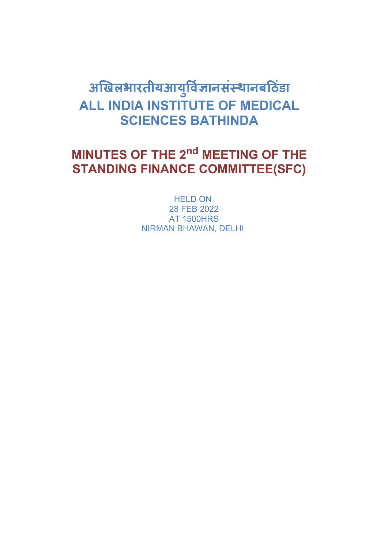# **अखिलभारतीयआयु र्विज्ञानसंस्थानबठिंडा ALL INDIA INSTITUTE OF MEDICAL SCIENCES BATHINDA**

# **MINUTES OF THE 2nd MEETING OF THE STANDING FINANCE COMMITTEE(SFC)**

HELD ON 28 FEB 2022 AT 1500HRS NIRMAN BHAWAN, DELHI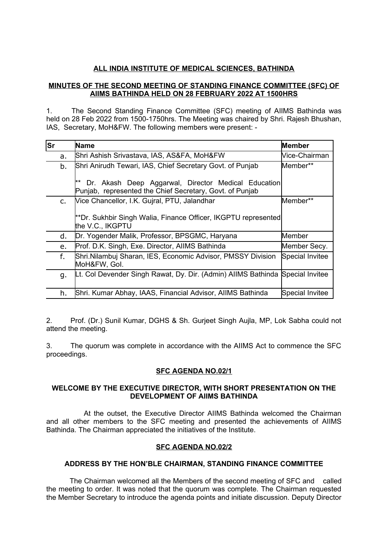## **ALL INDIA INSTITUTE OF MEDICAL SCIENCES, BATHINDA**

## **MINUTES OF THE SECOND MEETING OF STANDING FINANCE COMMITTEE (SFC) OF AIIMS BATHINDA HELD ON 28 FEBRUARY 2022 AT 1500HRS**

1. The Second Standing Finance Committee (SFC) meeting of AIIMS Bathinda was held on 28 Feb 2022 from 1500-1750hrs. The Meeting was chaired by Shri. Rajesh Bhushan, IAS, Secretary, MoH&FW. The following members were present: -

| lSr     | Name                                                                                                            | <b>Member</b>   |
|---------|-----------------------------------------------------------------------------------------------------------------|-----------------|
| a.      | Shri Ashish Srivastava, IAS, AS&FA, MoH&FW                                                                      | Vice-Chairman   |
| b.      | Shri Anirudh Tewari, IAS, Chief Secretary Govt. of Punjab                                                       | Member**        |
|         | Dr. Akash Deep Aggarwal, Director Medical Education<br>Punjab, represented the Chief Secretary, Govt. of Punjab |                 |
| $C_{1}$ | Vice Chancellor, I.K. Gujral, PTU, Jalandhar                                                                    | Member**        |
|         | **Dr. Sukhbir Singh Walia, Finance Officer, IKGPTU represented<br>the V.C., IKGPTU                              |                 |
| d.      | Dr. Yogender Malik, Professor, BPSGMC, Haryana                                                                  | Member          |
| e.      | Prof. D.K. Singh, Exe. Director, AllMS Bathinda                                                                 | Member Secy.    |
| f.      | Shri.Nilambuj Sharan, IES, Economic Advisor, PMSSY Division<br>MoH&FW, Gol.                                     | Special Invitee |
| g.      | Lt. Col Devender Singh Rawat, Dy. Dir. (Admin) AllMS Bathinda Special Invitee                                   |                 |
| h.      | Shri. Kumar Abhay, IAAS, Financial Advisor, AIIMS Bathinda                                                      | Special Invitee |

2. Prof. (Dr.) Sunil Kumar, DGHS & Sh. Gurjeet Singh Aujla, MP, Lok Sabha could not attend the meeting.

3. The quorum was complete in accordance with the AIIMS Act to commence the SFC proceedings.

## **SFC AGENDA NO.02/1**

## **WELCOME BY THE EXECUTIVE DIRECTOR, WITH SHORT PRESENTATION ON THE DEVELOPMENT OF AIIMS BATHINDA**

At the outset, the Executive Director AIIMS Bathinda welcomed the Chairman and all other members to the SFC meeting and presented the achievements of AIIMS Bathinda. The Chairman appreciated the initiatives of the Institute.

## **SFC AGENDA NO.02/2**

## **ADDRESS BY THE HON'BLE CHAIRMAN, STANDING FINANCE COMMITTEE**

The Chairman welcomed all the Members of the second meeting of SFC and called the meeting to order. It was noted that the quorum was complete. The Chairman requested the Member Secretary to introduce the agenda points and initiate discussion. Deputy Director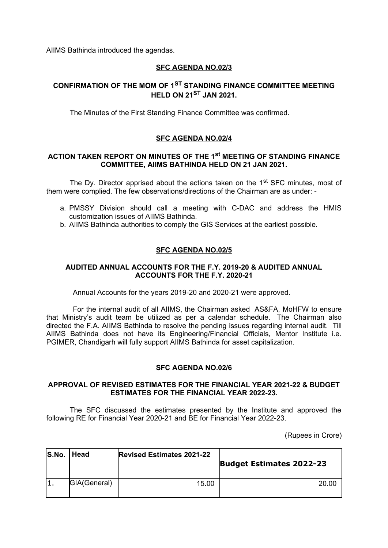AIIMS Bathinda introduced the agendas.

# **SFC AGENDA NO.02/3**

# **CONFIRMATION OF THE MOM OF 1ST STANDING FINANCE COMMITTEE MEETING HELD ON 21ST JAN 2021.**

The Minutes of the First Standing Finance Committee was confirmed.

# **SFC AGENDA NO.02/4**

# **ACTION TAKEN REPORT ON MINUTES OF THE 1st MEETING OF STANDING FINANCE COMMITTEE, AIIMS BATHINDA HELD ON 21 JAN 2021.**

The Dy. Director apprised about the actions taken on the 1<sup>st</sup> SFC minutes, most of them were complied. The few observations/directions of the Chairman are as under: -

- a. PMSSY Division should call a meeting with C-DAC and address the HMIS customization issues of AIIMS Bathinda.
- b. AIIMS Bathinda authorities to comply the GIS Services at the earliest possible.

## **SFC AGENDA NO.02/5**

## **AUDITED ANNUAL ACCOUNTS FOR THE F.Y. 2019-20 & AUDITED ANNUAL ACCOUNTS FOR THE F.Y. 2020-21**

Annual Accounts for the years 2019-20 and 2020-21 were approved.

For the internal audit of all AIIMS, the Chairman asked AS&FA, MoHFW to ensure that Ministry's audit team be utilized as per a calendar schedule. The Chairman also directed the F.A. AIIMS Bathinda to resolve the pending issues regarding internal audit. Till AIIMS Bathinda does not have its Engineering/Financial Officials, Mentor Institute i.e. PGIMER, Chandigarh will fully support AIIMS Bathinda for asset capitalization.

## **SFC AGENDA NO.02/6**

## **APPROVAL OF REVISED ESTIMATES FOR THE FINANCIAL YEAR 2021-22 & BUDGET ESTIMATES FOR THE FINANCIAL YEAR 2022-23.**

The SFC discussed the estimates presented by the Institute and approved the following RE for Financial Year 2020-21 and BE for Financial Year 2022-23.

(Rupees in Crore)

| S.No. | Head         | <b>Revised Estimates 2021-22</b> | <b>Budget Estimates 2022-23</b> |
|-------|--------------|----------------------------------|---------------------------------|
|       | GIA(General) | 15.00                            | 20.00                           |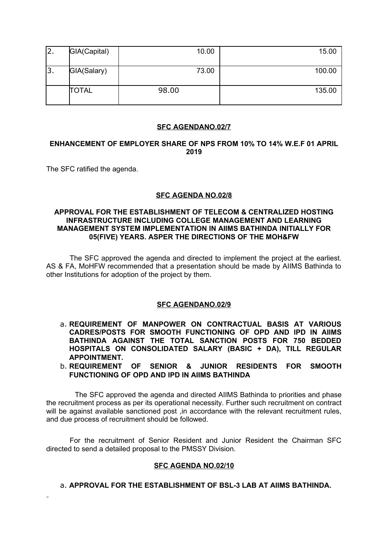| 12. | GIA(Capital) | 10.00 | 15.00  |
|-----|--------------|-------|--------|
| 13. | GIA(Salary)  | 73.00 | 100.00 |
|     | <b>TOTAL</b> | 98.00 | 135.00 |

## **SFC AGENDANO.02/7**

## **ENHANCEMENT OF EMPLOYER SHARE OF NPS FROM 10% TO 14% W.E.F 01 APRIL 2019**

The SFC ratified the agenda.

## **SFC AGENDA NO.02/8**

### **APPROVAL FOR THE ESTABLISHMENT OF TELECOM & CENTRALIZED HOSTING INFRASTRUCTURE INCLUDING COLLEGE MANAGEMENT AND LEARNING MANAGEMENT SYSTEM IMPLEMENTATION IN AIIMS BATHINDA INITIALLY FOR 05(FIVE) YEARS. ASPER THE DIRECTIONS OF THE MOH&FW**

The SFC approved the agenda and directed to implement the project at the earliest. AS & FA, MoHFW recommended that a presentation should be made by AIIMS Bathinda to other Institutions for adoption of the project by them.

#### **SFC AGENDANO.02/9**

- a. **REQUIREMENT OF MANPOWER ON CONTRACTUAL BASIS AT VARIOUS CADRES/POSTS FOR SMOOTH FUNCTIONING OF OPD AND IPD IN AIIMS BATHINDA AGAINST THE TOTAL SANCTION POSTS FOR 750 BEDDED HOSPITALS ON CONSOLIDATED SALARY (BASIC + DA), TILL REGULAR APPOINTMENT.**
- b. **REQUIREMENT OF SENIOR & JUNIOR RESIDENTS FOR SMOOTH FUNCTIONING OF OPD AND IPD IN AIIMS BATHINDA**

The SFC approved the agenda and directed AIIMS Bathinda to priorities and phase the recruitment process as per its operational necessity. Further such recruitment on contract will be against available sanctioned post , in accordance with the relevant recruitment rules, and due process of recruitment should be followed.

For the recruitment of Senior Resident and Junior Resident the Chairman SFC directed to send a detailed proposal to the PMSSY Division.

## **SFC AGENDA NO.02/10**

#### a. **APPROVAL FOR THE ESTABLISHMENT OF BSL-3 LAB AT AIIMS BATHINDA.**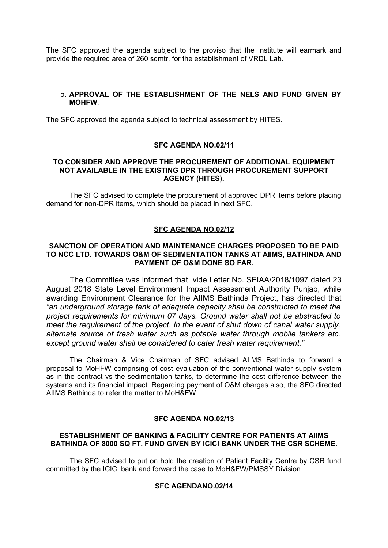The SFC approved the agenda subject to the proviso that the Institute will earmark and provide the required area of 260 sqmtr. for the establishment of VRDL Lab.

## b. **APPROVAL OF THE ESTABLISHMENT OF THE NELS AND FUND GIVEN BY MOHFW**.

The SFC approved the agenda subject to technical assessment by HITES.

## **SFC AGENDA NO.02/11**

## **TO CONSIDER AND APPROVE THE PROCUREMENT OF ADDITIONAL EQUIPMENT NOT AVAILABLE IN THE EXISTING DPR THROUGH PROCUREMENT SUPPORT AGENCY (HITES).**

The SFC advised to complete the procurement of approved DPR items before placing demand for non-DPR items, which should be placed in next SFC.

## **SFC AGENDA NO.02/12**

## **SANCTION OF OPERATION AND MAINTENANCE CHARGES PROPOSED TO BE PAID TO NCC LTD. TOWARDS O&M OF SEDIMENTATION TANKS AT AIIMS, BATHINDA AND PAYMENT OF O&M DONE SO FAR.**

The Committee was informed that vide Letter No. SEIAA/2018/1097 dated 23 August 2018 State Level Environment Impact Assessment Authority Punjab, while awarding Environment Clearance for the AIIMS Bathinda Project, has directed that *"an underground storage tank of adequate capacity shall be constructed to meet the project requirements for minimum 07 days. Ground water shall not be abstracted to meet the requirement of the project. In the event of shut down of canal water supply, alternate source of fresh water such as potable water through mobile tankers etc. except ground water shall be considered to cater fresh water requirement."*

The Chairman & Vice Chairman of SFC advised AIIMS Bathinda to forward a proposal to MoHFW comprising of cost evaluation of the conventional water supply system as in the contract vs the sedimentation tanks, to determine the cost difference between the systems and its financial impact. Regarding payment of O&M charges also, the SFC directed AIIMS Bathinda to refer the matter to MoH&FW.

#### **SFC AGENDA NO.02/13**

## **ESTABLISHMENT OF BANKING & FACILITY CENTRE FOR PATIENTS AT AIIMS BATHINDA OF 8000 SQ FT. FUND GIVEN BY ICICI BANK UNDER THE CSR SCHEME.**

The SFC advised to put on hold the creation of Patient Facility Centre by CSR fund committed by the ICICI bank and forward the case to MoH&FW/PMSSY Division.

## **SFC AGENDANO.02/14**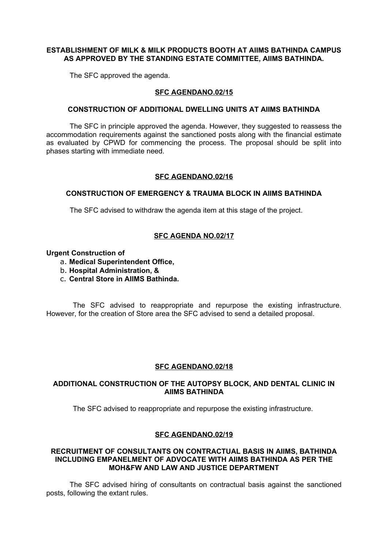## **ESTABLISHMENT OF MILK & MILK PRODUCTS BOOTH AT AIIMS BATHINDA CAMPUS AS APPROVED BY THE STANDING ESTATE COMMITTEE, AIIMS BATHINDA.**

The SFC approved the agenda.

## **SFC AGENDANO.02/15**

## **CONSTRUCTION OF ADDITIONAL DWELLING UNITS AT AIIMS BATHINDA**

The SFC in principle approved the agenda. However, they suggested to reassess the accommodation requirements against the sanctioned posts along with the financial estimate as evaluated by CPWD for commencing the process. The proposal should be split into phases starting with immediate need.

## **SFC AGENDANO.02/16**

## **CONSTRUCTION OF EMERGENCY & TRAUMA BLOCK IN AIIMS BATHINDA**

The SFC advised to withdraw the agenda item at this stage of the project.

## **SFC AGENDA NO.02/17**

#### **Urgent Construction of**

- a. **Medical Superintendent Office,**
- b. **Hospital Administration, &**
- c. **Central Store in AIIMS Bathinda.**

The SFC advised to reappropriate and repurpose the existing infrastructure. However, for the creation of Store area the SFC advised to send a detailed proposal.

#### **SFC AGENDANO.02/18**

## **ADDITIONAL CONSTRUCTION OF THE AUTOPSY BLOCK, AND DENTAL CLINIC IN AIIMS BATHINDA**

The SFC advised to reappropriate and repurpose the existing infrastructure.

#### **SFC AGENDANO.02/19**

## **RECRUITMENT OF CONSULTANTS ON CONTRACTUAL BASIS IN AIIMS, BATHINDA INCLUDING EMPANELMENT OF ADVOCATE WITH AIIMS BATHINDA AS PER THE MOH&FW AND LAW AND JUSTICE DEPARTMENT**

The SFC advised hiring of consultants on contractual basis against the sanctioned posts, following the extant rules.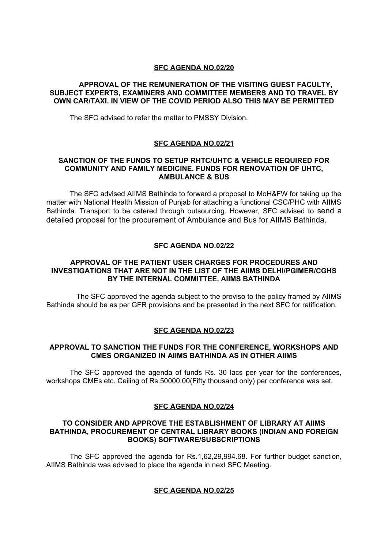## **SFC AGENDA NO.02/20**

## **APPROVAL OF THE REMUNERATION OF THE VISITING GUEST FACULTY, SUBJECT EXPERTS, EXAMINERS AND COMMITTEE MEMBERS AND TO TRAVEL BY OWN CAR/TAXI. IN VIEW OF THE COVID PERIOD ALSO THIS MAY BE PERMITTED**

The SFC advised to refer the matter to PMSSY Division.

## **SFC AGENDA NO.02/21**

## **SANCTION OF THE FUNDS TO SETUP RHTC/UHTC & VEHICLE REQUIRED FOR COMMUNITY AND FAMILY MEDICINE. FUNDS FOR RENOVATION OF UHTC, AMBULANCE & BUS**

The SFC advised AIIMS Bathinda to forward a proposal to MoH&FW for taking up the matter with National Health Mission of Punjab for attaching a functional CSC/PHC with AIIMS Bathinda. Transport to be catered through outsourcing. However, SFC advised to send a detailed proposal for the procurement of Ambulance and Bus for AIIMS Bathinda.

#### **SFC AGENDA NO.02/22**

## **APPROVAL OF THE PATIENT USER CHARGES FOR PROCEDURES AND INVESTIGATIONS THAT ARE NOT IN THE LIST OF THE AIIMS DELHI/PGIMER/CGHS BY THE INTERNAL COMMITTEE, AIIMS BATHINDA**

The SFC approved the agenda subject to the proviso to the policy framed by AIIMS Bathinda should be as per GFR provisions and be presented in the next SFC for ratification.

#### **SFC AGENDA NO.02/23**

#### **APPROVAL TO SANCTION THE FUNDS FOR THE CONFERENCE, WORKSHOPS AND CMES ORGANIZED IN AIIMS BATHINDA AS IN OTHER AIIMS**

The SFC approved the agenda of funds Rs. 30 lacs per year for the conferences, workshops CMEs etc. Ceiling of Rs.50000.00(Fifty thousand only) per conference was set.

#### **SFC AGENDA NO.02/24**

## **TO CONSIDER AND APPROVE THE ESTABLISHMENT OF LIBRARY AT AIIMS BATHINDA, PROCUREMENT OF CENTRAL LIBRARY BOOKS (INDIAN AND FOREIGN BOOKS) SOFTWARE/SUBSCRIPTIONS**

The SFC approved the agenda for Rs.1,62,29,994.68. For further budget sanction, AIIMS Bathinda was advised to place the agenda in next SFC Meeting.

## **SFC AGENDA NO.02/25**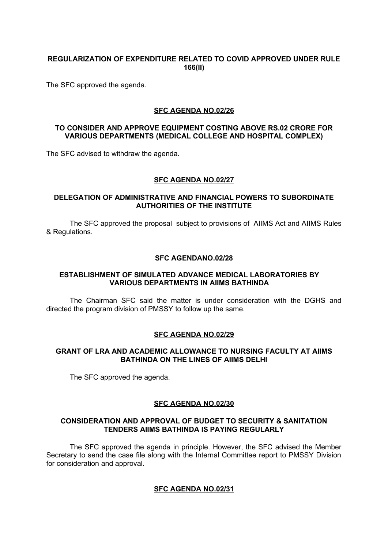# **REGULARIZATION OF EXPENDITURE RELATED TO COVID APPROVED UNDER RULE 166(II)**

The SFC approved the agenda.

## **SFC AGENDA NO.02/26**

## **TO CONSIDER AND APPROVE EQUIPMENT COSTING ABOVE RS.02 CRORE FOR VARIOUS DEPARTMENTS (MEDICAL COLLEGE AND HOSPITAL COMPLEX)**

The SFC advised to withdraw the agenda.

## **SFC AGENDA NO.02/27**

## **DELEGATION OF ADMINISTRATIVE AND FINANCIAL POWERS TO SUBORDINATE AUTHORITIES OF THE INSTITUTE**

The SFC approved the proposal subject to provisions of AIIMS Act and AIIMS Rules & Regulations.

## **SFC AGENDANO.02/28**

#### **ESTABLISHMENT OF SIMULATED ADVANCE MEDICAL LABORATORIES BY VARIOUS DEPARTMENTS IN AIIMS BATHINDA**

The Chairman SFC said the matter is under consideration with the DGHS and directed the program division of PMSSY to follow up the same.

## **SFC AGENDA NO.02/29**

## **GRANT OF LRA AND ACADEMIC ALLOWANCE TO NURSING FACULTY AT AIIMS BATHINDA ON THE LINES OF AIIMS DELHI**

The SFC approved the agenda.

## **SFC AGENDA NO.02/30**

## **CONSIDERATION AND APPROVAL OF BUDGET TO SECURITY & SANITATION TENDERS AIIMS BATHINDA IS PAYING REGULARLY**

The SFC approved the agenda in principle. However, the SFC advised the Member Secretary to send the case file along with the Internal Committee report to PMSSY Division for consideration and approval.

#### **SFC AGENDA NO.02/31**